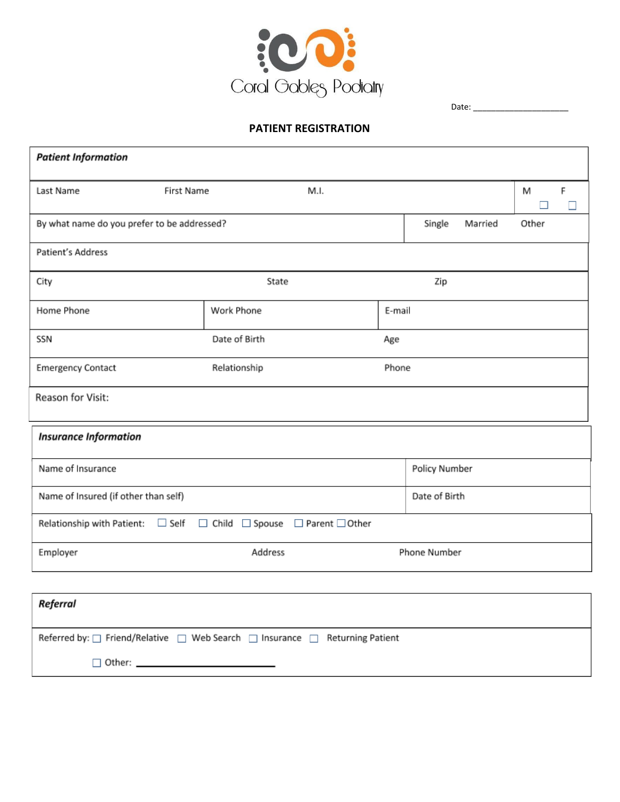

Date: \_\_\_\_\_\_\_\_\_\_\_\_\_\_\_\_\_\_\_\_\_

## **PATIENT REGISTRATION**

| <b>Patient Information</b>                                                                      |                                                                     |              |  |  |  |  |  |  |  |
|-------------------------------------------------------------------------------------------------|---------------------------------------------------------------------|--------------|--|--|--|--|--|--|--|
| Last Name                                                                                       | <b>First Name</b><br>M.I.                                           |              |  |  |  |  |  |  |  |
| By what name do you prefer to be addressed?<br>Single<br>Married                                |                                                                     |              |  |  |  |  |  |  |  |
| Patient's Address                                                                               |                                                                     |              |  |  |  |  |  |  |  |
| City                                                                                            |                                                                     | Zip          |  |  |  |  |  |  |  |
| Home Phone                                                                                      | Work Phone                                                          | E-mail       |  |  |  |  |  |  |  |
| SSN                                                                                             | Date of Birth                                                       | Age          |  |  |  |  |  |  |  |
| <b>Emergency Contact</b>                                                                        | Relationship                                                        | Phone        |  |  |  |  |  |  |  |
| Reason for Visit:                                                                               |                                                                     |              |  |  |  |  |  |  |  |
| <b>Insurance Information</b>                                                                    |                                                                     |              |  |  |  |  |  |  |  |
| Name of Insurance                                                                               | Policy Number                                                       |              |  |  |  |  |  |  |  |
| Name of Insured (if other than self)                                                            | Date of Birth                                                       |              |  |  |  |  |  |  |  |
|                                                                                                 | Relationship with Patient: □ Self □ Child □ Spouse □ Parent □ Other |              |  |  |  |  |  |  |  |
| Employer                                                                                        |                                                                     | Phone Number |  |  |  |  |  |  |  |
|                                                                                                 |                                                                     |              |  |  |  |  |  |  |  |
| Referral                                                                                        |                                                                     |              |  |  |  |  |  |  |  |
| Referred by: $\Box$ Friend/Relative $\Box$ Web Search $\Box$ Insurance $\Box$ Returning Patient |                                                                     |              |  |  |  |  |  |  |  |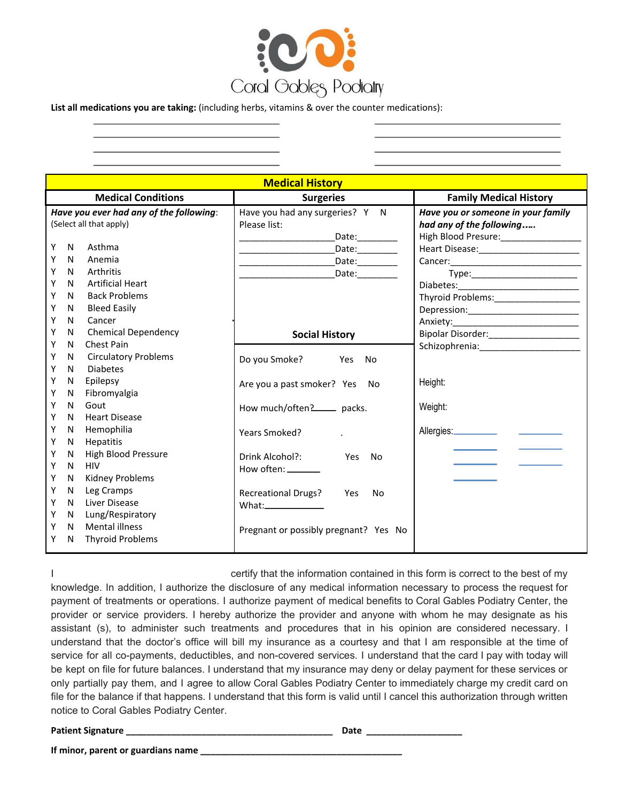

**List all medications you are taking:** (including herbs, vitamins & over the counter medications):

**Medical History Medical Conditions Surgeries Family Medical History** *Have you ever had any of the following*: (Select all that apply) Y N Asthma Y N Anemia Y N Arthritis Y N Artificial Heart Y N Back Problems Y N Bleed Easily Y N Cancer Y N Chemical Dependency Y N Chest Pain Y N Circulatory Problems Y N Diabetes Y N Epilepsy Y N Fibromyalgia Y N Gout Y N Heart Disease Y N Hemophilia Y N Hepatitis Y N High Blood Pressure Y N HIV Y N Kidney Problems Y N Leg Cramps Y N Liver Disease Y N Lung/Respiratory Y N Mental illness Y N Thyroid Problems Have you had any surgeries? Y N Please list: Date:  $Date:$ Date: \_\_\_\_\_\_\_\_\_\_\_\_\_\_\_\_\_\_\_Date:\_\_\_\_\_\_\_\_ **Social History** Do you Smoke? Yes No Are you a past smoker? Yes No How much/often? packs. Years Smoked? . Drink Alcohol?: Yes No How often: Recreational Drugs? Yes No What: Pregnant or possibly pregnant? Yes No *Have you or someone in your family had any of the following*…*..* High Blood Presure:\_\_\_\_\_\_\_\_\_\_\_\_\_\_\_\_ Heart Disease: Cancer: Type:\_\_\_\_\_\_\_\_\_\_\_\_\_\_\_\_\_\_\_\_\_ Diabetes: Thyroid Problems:\_\_\_\_\_\_\_\_\_\_\_\_\_\_\_\_\_ Depression:\_\_\_\_\_\_\_\_\_\_\_\_\_\_\_\_\_\_\_\_\_\_ Anxiety:\_\_\_\_\_\_\_\_\_\_\_\_\_\_\_\_\_\_\_\_\_\_\_\_\_ Bipolar Disorder:\_\_\_\_\_\_\_\_\_\_\_\_\_\_\_\_\_\_ Schizophrenia:\_\_\_\_\_\_\_\_\_\_\_\_\_\_\_\_\_\_\_\_ Height: Weight: Allergies:

I certify that the information contained in this form is correct to the best of my knowledge. In addition, I authorize the disclosure of any medical information necessary to process the request for payment of treatments or operations. I authorize payment of medical benefits to Coral Gables Podiatry Center, the provider or service providers. I hereby authorize the provider and anyone with whom he may designate as his assistant (s), to administer such treatments and procedures that in his opinion are considered necessary. I understand that the doctor's office will bill my insurance as a courtesy and that I am responsible at the time of service for all co-payments, deductibles, and non-covered services. I understand that the card I pay with today will be kept on file for future balances. I understand that my insurance may deny or delay payment for these services or only partially pay them, and I agree to allow Coral Gables Podiatry Center to immediately charge my credit card on file for the balance if that happens. I understand that this form is valid until I cancel this authorization through written notice to Coral Gables Podiatry Center.

**Patient Signature \_\_\_\_\_\_\_\_\_\_\_\_\_\_\_\_\_\_\_\_\_\_\_\_\_\_\_\_\_\_\_\_\_\_\_\_\_\_\_\_\_ Date \_\_\_\_\_\_\_\_\_\_\_\_\_\_\_\_\_\_\_**

**If minor, parent or guardians name \_\_\_\_\_\_\_\_\_\_\_\_\_\_\_\_\_\_\_\_\_\_\_\_\_\_\_\_\_\_\_\_\_\_\_\_\_\_\_\_**